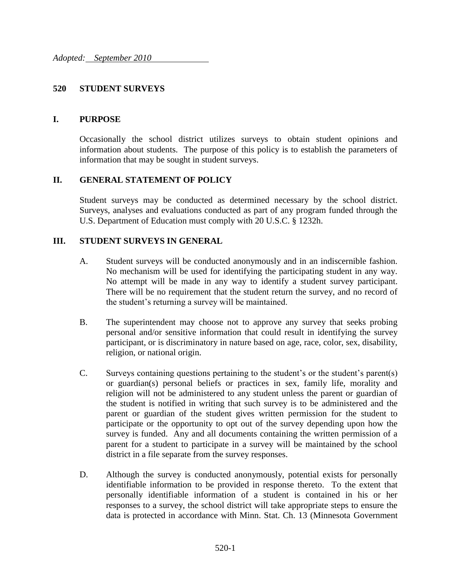#### **520 STUDENT SURVEYS**

#### **I. PURPOSE**

Occasionally the school district utilizes surveys to obtain student opinions and information about students. The purpose of this policy is to establish the parameters of information that may be sought in student surveys.

## **II. GENERAL STATEMENT OF POLICY**

Student surveys may be conducted as determined necessary by the school district. Surveys, analyses and evaluations conducted as part of any program funded through the U.S. Department of Education must comply with 20 U.S.C. § 1232h.

## **III. STUDENT SURVEYS IN GENERAL**

- A. Student surveys will be conducted anonymously and in an indiscernible fashion. No mechanism will be used for identifying the participating student in any way. No attempt will be made in any way to identify a student survey participant. There will be no requirement that the student return the survey, and no record of the student's returning a survey will be maintained.
- B. The superintendent may choose not to approve any survey that seeks probing personal and/or sensitive information that could result in identifying the survey participant, or is discriminatory in nature based on age, race, color, sex, disability, religion, or national origin.
- C. Surveys containing questions pertaining to the student's or the student's parent(s) or guardian(s) personal beliefs or practices in sex, family life, morality and religion will not be administered to any student unless the parent or guardian of the student is notified in writing that such survey is to be administered and the parent or guardian of the student gives written permission for the student to participate or the opportunity to opt out of the survey depending upon how the survey is funded. Any and all documents containing the written permission of a parent for a student to participate in a survey will be maintained by the school district in a file separate from the survey responses.
- D. Although the survey is conducted anonymously, potential exists for personally identifiable information to be provided in response thereto. To the extent that personally identifiable information of a student is contained in his or her responses to a survey, the school district will take appropriate steps to ensure the data is protected in accordance with Minn. Stat. Ch. 13 (Minnesota Government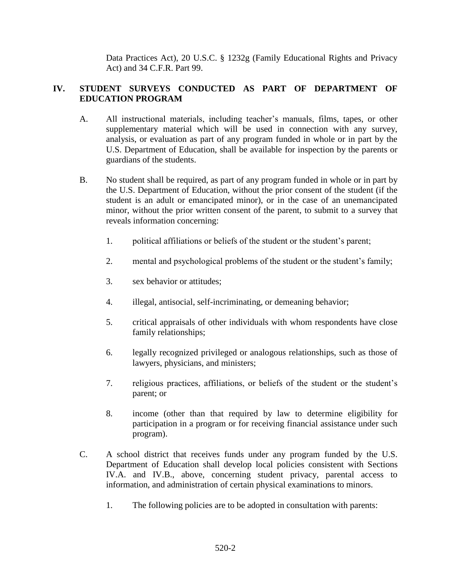Data Practices Act), 20 U.S.C. § 1232g (Family Educational Rights and Privacy Act) and 34 C.F.R. Part 99.

# **IV. STUDENT SURVEYS CONDUCTED AS PART OF DEPARTMENT OF EDUCATION PROGRAM**

- A. All instructional materials, including teacher's manuals, films, tapes, or other supplementary material which will be used in connection with any survey, analysis, or evaluation as part of any program funded in whole or in part by the U.S. Department of Education, shall be available for inspection by the parents or guardians of the students.
- B. No student shall be required, as part of any program funded in whole or in part by the U.S. Department of Education, without the prior consent of the student (if the student is an adult or emancipated minor), or in the case of an unemancipated minor, without the prior written consent of the parent, to submit to a survey that reveals information concerning:
	- 1. political affiliations or beliefs of the student or the student's parent;
	- 2. mental and psychological problems of the student or the student's family;
	- 3. sex behavior or attitudes;
	- 4. illegal, antisocial, self-incriminating, or demeaning behavior;
	- 5. critical appraisals of other individuals with whom respondents have close family relationships;
	- 6. legally recognized privileged or analogous relationships, such as those of lawyers, physicians, and ministers;
	- 7. religious practices, affiliations, or beliefs of the student or the student's parent; or
	- 8. income (other than that required by law to determine eligibility for participation in a program or for receiving financial assistance under such program).
- C. A school district that receives funds under any program funded by the U.S. Department of Education shall develop local policies consistent with Sections IV.A. and IV.B., above, concerning student privacy, parental access to information, and administration of certain physical examinations to minors.
	- 1. The following policies are to be adopted in consultation with parents: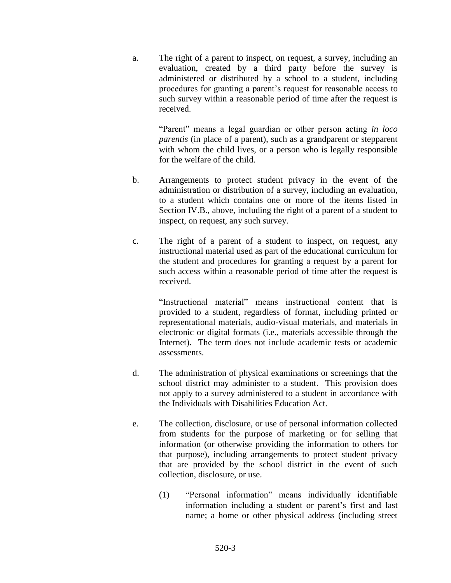a. The right of a parent to inspect, on request, a survey, including an evaluation, created by a third party before the survey is administered or distributed by a school to a student, including procedures for granting a parent's request for reasonable access to such survey within a reasonable period of time after the request is received.

"Parent" means a legal guardian or other person acting *in loco parentis* (in place of a parent), such as a grandparent or stepparent with whom the child lives, or a person who is legally responsible for the welfare of the child.

- b. Arrangements to protect student privacy in the event of the administration or distribution of a survey, including an evaluation, to a student which contains one or more of the items listed in Section IV.B., above, including the right of a parent of a student to inspect, on request, any such survey.
- c. The right of a parent of a student to inspect, on request, any instructional material used as part of the educational curriculum for the student and procedures for granting a request by a parent for such access within a reasonable period of time after the request is received.

"Instructional material" means instructional content that is provided to a student, regardless of format, including printed or representational materials, audio-visual materials, and materials in electronic or digital formats (i.e., materials accessible through the Internet). The term does not include academic tests or academic assessments.

- d. The administration of physical examinations or screenings that the school district may administer to a student. This provision does not apply to a survey administered to a student in accordance with the Individuals with Disabilities Education Act.
- e. The collection, disclosure, or use of personal information collected from students for the purpose of marketing or for selling that information (or otherwise providing the information to others for that purpose), including arrangements to protect student privacy that are provided by the school district in the event of such collection, disclosure, or use.
	- (1) "Personal information" means individually identifiable information including a student or parent's first and last name; a home or other physical address (including street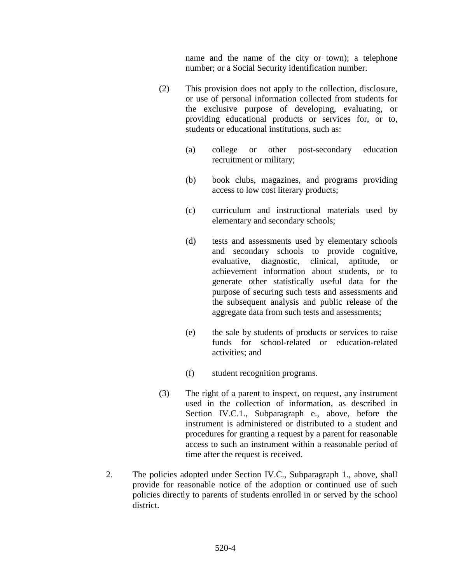name and the name of the city or town); a telephone number; or a Social Security identification number.

- (2) This provision does not apply to the collection, disclosure, or use of personal information collected from students for the exclusive purpose of developing, evaluating, or providing educational products or services for, or to, students or educational institutions, such as:
	- (a) college or other post-secondary education recruitment or military;
	- (b) book clubs, magazines, and programs providing access to low cost literary products;
	- (c) curriculum and instructional materials used by elementary and secondary schools;
	- (d) tests and assessments used by elementary schools and secondary schools to provide cognitive, evaluative, diagnostic, clinical, aptitude, or achievement information about students, or to generate other statistically useful data for the purpose of securing such tests and assessments and the subsequent analysis and public release of the aggregate data from such tests and assessments;
	- (e) the sale by students of products or services to raise funds for school-related or education-related activities; and
	- (f) student recognition programs.
- (3) The right of a parent to inspect, on request, any instrument used in the collection of information, as described in Section IV.C.1., Subparagraph e., above, before the instrument is administered or distributed to a student and procedures for granting a request by a parent for reasonable access to such an instrument within a reasonable period of time after the request is received.
- 2. The policies adopted under Section IV.C., Subparagraph 1., above, shall provide for reasonable notice of the adoption or continued use of such policies directly to parents of students enrolled in or served by the school district.